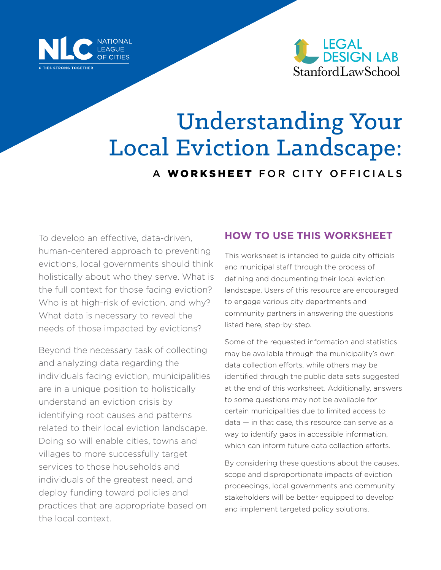



# Understanding Your Local Eviction Landscape: A WORKSHEET FOR CITY OFFICIALS

To develop an effective, data-driven, human-centered approach to preventing evictions, local governments should think holistically about who they serve. What is the full context for those facing eviction? Who is at high-risk of eviction, and why? What data is necessary to reveal the needs of those impacted by evictions?

Beyond the necessary task of collecting and analyzing data regarding the individuals facing eviction, municipalities are in a unique position to holistically understand an eviction crisis by identifying root causes and patterns related to their local eviction landscape. Doing so will enable cities, towns and villages to more successfully target services to those households and individuals of the greatest need, and deploy funding toward policies and practices that are appropriate based on the local context.

### **HOW TO USE THIS WORKSHEET**

This worksheet is intended to guide city officials and municipal staff through the process of defining and documenting their local eviction landscape. Users of this resource are encouraged to engage various city departments and community partners in answering the questions listed here, step-by-step.

Some of the requested information and statistics may be available through the municipality's own data collection efforts, while others may be identified through the public data sets suggested at the end of this worksheet. Additionally, answers to some questions may not be available for certain municipalities due to limited access to data — in that case, this resource can serve as a way to identify gaps in accessible information. which can inform future data collection efforts.

By considering these questions about the causes, scope and disproportionate impacts of eviction proceedings, local governments and community stakeholders will be better equipped to develop and implement targeted policy solutions.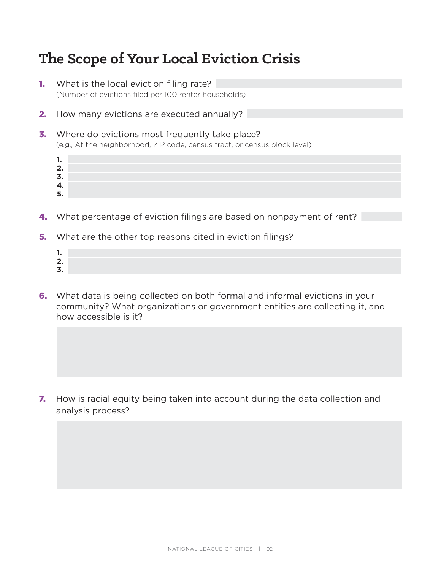# **The Scope of Your Local Eviction Crisis**

- **1.** What is the local eviction filing rate? (Number of evictions filed per 100 renter households)
- **2.** How many evictions are executed annually?
- **3.** Where do evictions most frequently take place? (e.g., At the neighborhood, ZIP code, census tract, or census block level)
	- **2. 3.**

**1.**

**4. 5.**

- 
- 4. What percentage of eviction filings are based on nonpayment of rent?
- **5.** What are the other top reasons cited in eviction filings?
	- **1. 2. 3.**
- 6. What data is being collected on both formal and informal evictions in your community? What organizations or government entities are collecting it, and how accessible is it?

**7.** How is racial equity being taken into account during the data collection and analysis process?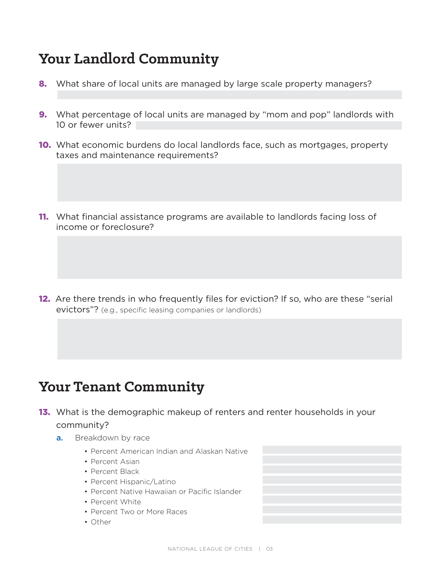# **Your Landlord Community**

- 8. What share of local units are managed by large scale property managers?
- **9.** What percentage of local units are managed by "mom and pop" landlords with 10 or fewer units?
- 10. What economic burdens do local landlords face, such as mortgages, property taxes and maintenance requirements?
- **11.** What financial assistance programs are available to landlords facing loss of income or foreclosure?

12. Are there trends in who frequently files for eviction? If so, who are these "serial evictors"? (e.g., specific leasing companies or landlords)

### **Your Tenant Community**

- **13.** What is the demographic makeup of renters and renter households in your community?
	- a. Breakdown by race
		- Percent American Indian and Alaskan Native
		- Percent Asian
		- Percent Black
		- Percent Hispanic/Latino
		- Percent Native Hawaiian or Pacific Islander
		- Percent White
		- Percent Two or More Races
		- Other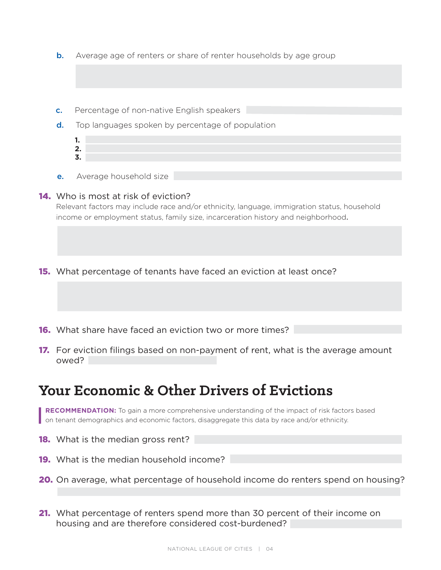- **b.** Average age of renters or share of renter households by age group
- c. Percentage of non-native English speakers
- d. Top languages spoken by percentage of population
	- **1. 2. 3.**
- **e.** Average household size

#### **14.** Who is most at risk of eviction?

Relevant factors may include race and/or ethnicity, language, immigration status, household income or employment status, family size, incarceration history and neighborhood.

**15.** What percentage of tenants have faced an eviction at least once?

- **16.** What share have faced an eviction two or more times?
- **17.** For eviction filings based on non-payment of rent, what is the average amount owed?

### **Your Economic & Other Drivers of Evictions**

**RECOMMENDATION:** To gain a more comprehensive understanding of the impact of risk factors based on tenant demographics and economic factors, disaggregate this data by race and/or ethnicity.

- **18.** What is the median gross rent?
- **19.** What is the median household income?
- 20. On average, what percentage of household income do renters spend on housing?
- **21.** What percentage of renters spend more than 30 percent of their income on housing and are therefore considered cost-burdened?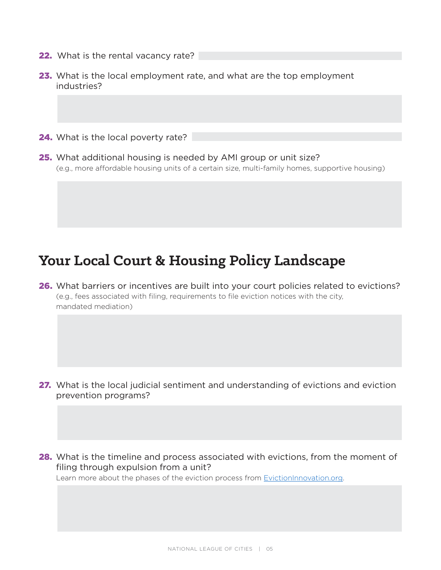- 22. What is the rental vacancy rate?
- 23. What is the local employment rate, and what are the top employment industries?
- 24. What is the local poverty rate?
- 25. What additional housing is needed by AMI group or unit size? (e.g., more affordable housing units of a certain size, multi-family homes, supportive housing)

### **Your Local Court & Housing Policy Landscape**

26. What barriers or incentives are built into your court policies related to evictions? (e.g., fees associated with filing, requirements to file eviction notices with the city, mandated mediation)

- 27. What is the local judicial sentiment and understanding of evictions and eviction prevention programs?
- 28. What is the timeline and process associated with evictions, from the moment of filing through expulsion from a unit?

Learn more about the phases of the eviction process from [EvictionInnovation.org](https://evictioninnovation.org/).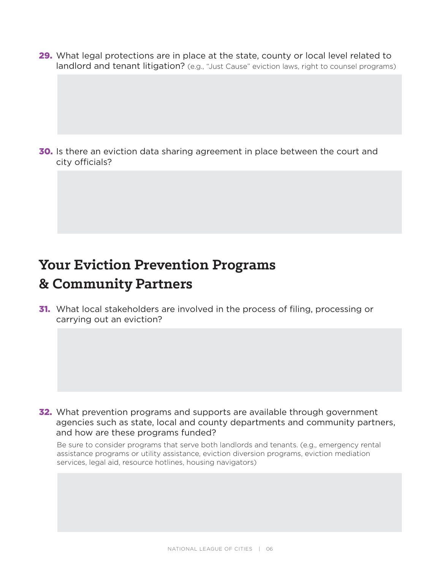29. What legal protections are in place at the state, county or local level related to landlord and tenant litigation? (e.g., "Just Cause" eviction laws, right to counsel programs)

30. Is there an eviction data sharing agreement in place between the court and city officials?

### **Your Eviction Prevention Programs & Community Partners**

**31.** What local stakeholders are involved in the process of filing, processing or carrying out an eviction?

32. What prevention programs and supports are available through government agencies such as state, local and county departments and community partners, and how are these programs funded?

Be sure to consider programs that serve both landlords and tenants. (e.g., emergency rental assistance programs or utility assistance, eviction diversion programs, eviction mediation services, legal aid, resource hotlines, housing navigators)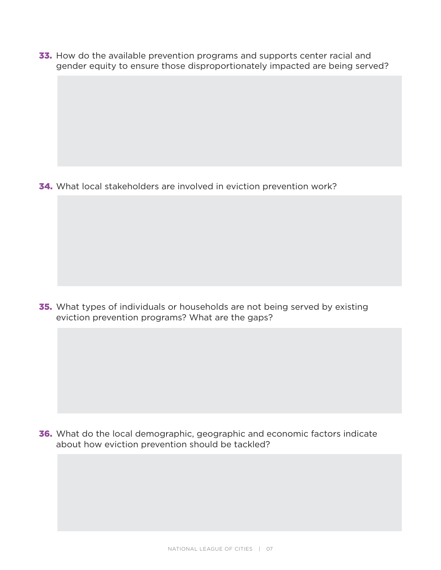33. How do the available prevention programs and supports center racial and gender equity to ensure those disproportionately impacted are being served?

34. What local stakeholders are involved in eviction prevention work?

**35.** What types of individuals or households are not being served by existing eviction prevention programs? What are the gaps?

36. What do the local demographic, geographic and economic factors indicate about how eviction prevention should be tackled?